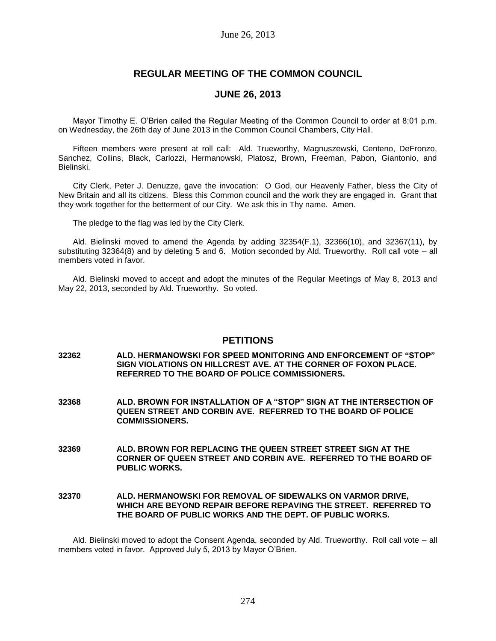## **REGULAR MEETING OF THE COMMON COUNCIL**

## **JUNE 26, 2013**

Mayor Timothy E. O'Brien called the Regular Meeting of the Common Council to order at 8:01 p.m. on Wednesday, the 26th day of June 2013 in the Common Council Chambers, City Hall.

Fifteen members were present at roll call: Ald. Trueworthy, Magnuszewski, Centeno, DeFronzo, Sanchez, Collins, Black, Carlozzi, Hermanowski, Platosz, Brown, Freeman, Pabon, Giantonio, and Bielinski.

City Clerk, Peter J. Denuzze, gave the invocation: O God, our Heavenly Father, bless the City of New Britain and all its citizens. Bless this Common council and the work they are engaged in. Grant that they work together for the betterment of our City. We ask this in Thy name. Amen.

The pledge to the flag was led by the City Clerk.

Ald. Bielinski moved to amend the Agenda by adding 32354(F.1), 32366(10), and 32367(11), by substituting 32364(8) and by deleting 5 and 6. Motion seconded by Ald. Trueworthy. Roll call vote – all members voted in favor.

Ald. Bielinski moved to accept and adopt the minutes of the Regular Meetings of May 8, 2013 and May 22, 2013, seconded by Ald. Trueworthy. So voted.

### **PETITIONS**

- **32362 ALD. HERMANOWSKI FOR SPEED MONITORING AND ENFORCEMENT OF "STOP" SIGN VIOLATIONS ON HILLCREST AVE. AT THE CORNER OF FOXON PLACE. REFERRED TO THE BOARD OF POLICE COMMISSIONERS.**
- **32368 ALD. BROWN FOR INSTALLATION OF A "STOP" SIGN AT THE INTERSECTION OF QUEEN STREET AND CORBIN AVE. REFERRED TO THE BOARD OF POLICE COMMISSIONERS.**
- **32369 ALD. BROWN FOR REPLACING THE QUEEN STREET STREET SIGN AT THE CORNER OF QUEEN STREET AND CORBIN AVE. REFERRED TO THE BOARD OF PUBLIC WORKS.**
- **32370 ALD. HERMANOWSKI FOR REMOVAL OF SIDEWALKS ON VARMOR DRIVE, WHICH ARE BEYOND REPAIR BEFORE REPAVING THE STREET. REFERRED TO THE BOARD OF PUBLIC WORKS AND THE DEPT. OF PUBLIC WORKS.**

Ald. Bielinski moved to adopt the Consent Agenda, seconded by Ald. Trueworthy. Roll call vote – all members voted in favor. Approved July 5, 2013 by Mayor O'Brien.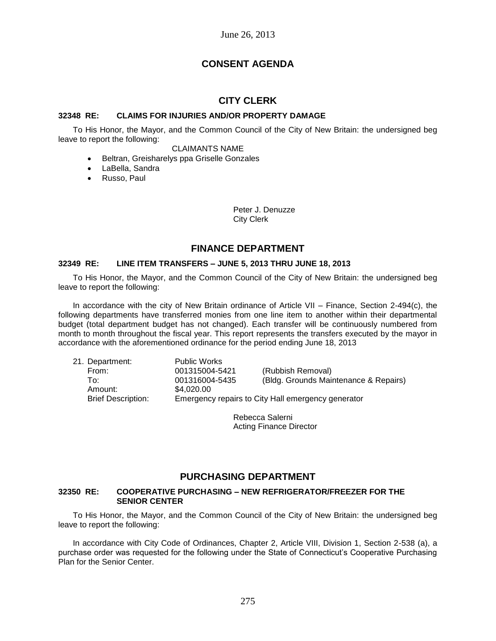# **CONSENT AGENDA**

## **CITY CLERK**

## **32348 RE: CLAIMS FOR INJURIES AND/OR PROPERTY DAMAGE**

To His Honor, the Mayor, and the Common Council of the City of New Britain: the undersigned beg leave to report the following:

## CLAIMANTS NAME

- Beltran, Greisharelys ppa Griselle Gonzales
- LaBella, Sandra Russo, Paul

Peter J. Denuzze City Clerk

## **FINANCE DEPARTMENT**

### **32349 RE: LINE ITEM TRANSFERS – JUNE 5, 2013 THRU JUNE 18, 2013**

To His Honor, the Mayor, and the Common Council of the City of New Britain: the undersigned beg leave to report the following:

In accordance with the city of New Britain ordinance of Article VII – Finance, Section 2-494(c), the following departments have transferred monies from one line item to another within their departmental budget (total department budget has not changed). Each transfer will be continuously numbered from month to month throughout the fiscal year. This report represents the transfers executed by the mayor in accordance with the aforementioned ordinance for the period ending June 18, 2013

| 21. Department:           | <b>Public Works</b> |                                                    |
|---------------------------|---------------------|----------------------------------------------------|
| From:                     | 001315004-5421      | (Rubbish Removal)                                  |
| To∶                       | 001316004-5435      | (Bldg. Grounds Maintenance & Repairs)              |
| Amount:                   | \$4.020.00          |                                                    |
| <b>Brief Description:</b> |                     | Emergency repairs to City Hall emergency generator |

Rebecca Salerni Acting Finance Director

## **PURCHASING DEPARTMENT**

#### **32350 RE: COOPERATIVE PURCHASING – NEW REFRIGERATOR/FREEZER FOR THE SENIOR CENTER**

To His Honor, the Mayor, and the Common Council of the City of New Britain: the undersigned beg leave to report the following:

In accordance with City Code of Ordinances, Chapter 2, Article VIII, Division 1, Section 2-538 (a), a purchase order was requested for the following under the State of Connecticut's Cooperative Purchasing Plan for the Senior Center.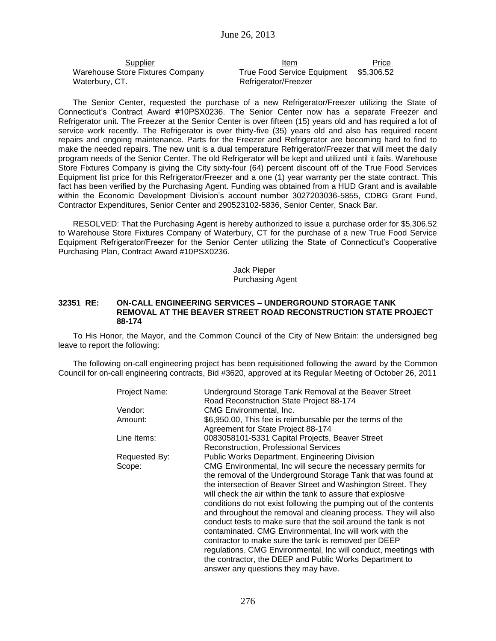| Supplier                         | Item                        | Price      |
|----------------------------------|-----------------------------|------------|
| Warehouse Store Fixtures Company | True Food Service Equipment | \$5.306.52 |
| Waterbury, CT.                   | Refrigerator/Freezer        |            |

The Senior Center, requested the purchase of a new Refrigerator/Freezer utilizing the State of Connecticut's Contract Award #10PSX0236. The Senior Center now has a separate Freezer and Refrigerator unit. The Freezer at the Senior Center is over fifteen (15) years old and has required a lot of service work recently. The Refrigerator is over thirty-five (35) years old and also has required recent repairs and ongoing maintenance. Parts for the Freezer and Refrigerator are becoming hard to find to make the needed repairs. The new unit is a dual temperature Refrigerator/Freezer that will meet the daily program needs of the Senior Center. The old Refrigerator will be kept and utilized until it fails. Warehouse Store Fixtures Company is giving the City sixty-four (64) percent discount off of the True Food Services Equipment list price for this Refrigerator/Freezer and a one (1) year warranty per the state contract. This fact has been verified by the Purchasing Agent. Funding was obtained from a HUD Grant and is available within the Economic Development Division's account number 3027203036-5855, CDBG Grant Fund, Contractor Expenditures, Senior Center and 290523102-5836, Senior Center, Snack Bar.

RESOLVED: That the Purchasing Agent is hereby authorized to issue a purchase order for \$5,306.52 to Warehouse Store Fixtures Company of Waterbury, CT for the purchase of a new True Food Service Equipment Refrigerator/Freezer for the Senior Center utilizing the State of Connecticut's Cooperative Purchasing Plan, Contract Award #10PSX0236.

> Jack Pieper Purchasing Agent

### **32351 RE: ON-CALL ENGINEERING SERVICES – UNDERGROUND STORAGE TANK REMOVAL AT THE BEAVER STREET ROAD RECONSTRUCTION STATE PROJECT 88-174**

To His Honor, the Mayor, and the Common Council of the City of New Britain: the undersigned beg leave to report the following:

The following on-call engineering project has been requisitioned following the award by the Common Council for on-call engineering contracts, Bid #3620, approved at its Regular Meeting of October 26, 2011

| Project Name: | Underground Storage Tank Removal at the Beaver Street<br>Road Reconstruction State Project 88-174                                                                                                                                                                                                                                                                                                                                                                                                                                                                                                                                                                                                                                                                |
|---------------|------------------------------------------------------------------------------------------------------------------------------------------------------------------------------------------------------------------------------------------------------------------------------------------------------------------------------------------------------------------------------------------------------------------------------------------------------------------------------------------------------------------------------------------------------------------------------------------------------------------------------------------------------------------------------------------------------------------------------------------------------------------|
| Vendor:       | CMG Environmental, Inc.                                                                                                                                                                                                                                                                                                                                                                                                                                                                                                                                                                                                                                                                                                                                          |
| Amount:       | \$6,950.00, This fee is reimbursable per the terms of the<br>Agreement for State Project 88-174                                                                                                                                                                                                                                                                                                                                                                                                                                                                                                                                                                                                                                                                  |
| Line Items:   | 0083058101-5331 Capital Projects, Beaver Street<br>Reconstruction, Professional Services                                                                                                                                                                                                                                                                                                                                                                                                                                                                                                                                                                                                                                                                         |
| Requested By: | Public Works Department, Engineering Division                                                                                                                                                                                                                                                                                                                                                                                                                                                                                                                                                                                                                                                                                                                    |
| Scope:        | CMG Environmental, Inc will secure the necessary permits for<br>the removal of the Underground Storage Tank that was found at<br>the intersection of Beaver Street and Washington Street. They<br>will check the air within the tank to assure that explosive<br>conditions do not exist following the pumping out of the contents<br>and throughout the removal and cleaning process. They will also<br>conduct tests to make sure that the soil around the tank is not<br>contaminated. CMG Environmental, Inc will work with the<br>contractor to make sure the tank is removed per DEEP<br>regulations. CMG Environmental, Inc will conduct, meetings with<br>the contractor, the DEEP and Public Works Department to<br>answer any questions they may have. |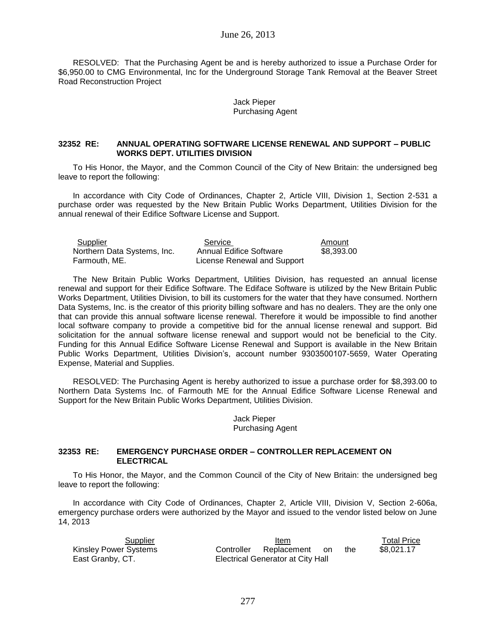## June 26, 2013

RESOLVED: That the Purchasing Agent be and is hereby authorized to issue a Purchase Order for \$6,950.00 to CMG Environmental, Inc for the Underground Storage Tank Removal at the Beaver Street Road Reconstruction Project

#### Jack Pieper Purchasing Agent

### **32352 RE: ANNUAL OPERATING SOFTWARE LICENSE RENEWAL AND SUPPORT – PUBLIC WORKS DEPT. UTILITIES DIVISION**

To His Honor, the Mayor, and the Common Council of the City of New Britain: the undersigned beg leave to report the following:

In accordance with City Code of Ordinances, Chapter 2, Article VIII, Division 1, Section 2-531 a purchase order was requested by the New Britain Public Works Department, Utilities Division for the annual renewal of their Edifice Software License and Support.

Supplier Service **Service** Amount Northern Data Systems, Inc. Annual Edifice Software \$8,393.00 Farmouth, ME. License Renewal and Support

The New Britain Public Works Department, Utilities Division, has requested an annual license renewal and support for their Edifice Software. The Ediface Software is utilized by the New Britain Public Works Department, Utilities Division, to bill its customers for the water that they have consumed. Northern Data Systems, Inc. is the creator of this priority billing software and has no dealers. They are the only one that can provide this annual software license renewal. Therefore it would be impossible to find another local software company to provide a competitive bid for the annual license renewal and support. Bid solicitation for the annual software license renewal and support would not be beneficial to the City. Funding for this Annual Edifice Software License Renewal and Support is available in the New Britain Public Works Department, Utilities Division's, account number 9303500107-5659, Water Operating Expense, Material and Supplies.

RESOLVED: The Purchasing Agent is hereby authorized to issue a purchase order for \$8,393.00 to Northern Data Systems Inc. of Farmouth ME for the Annual Edifice Software License Renewal and Support for the New Britain Public Works Department, Utilities Division.

> Jack Pieper Purchasing Agent

### **32353 RE: EMERGENCY PURCHASE ORDER – CONTROLLER REPLACEMENT ON ELECTRICAL**

To His Honor, the Mayor, and the Common Council of the City of New Britain: the undersigned beg leave to report the following:

In accordance with City Code of Ordinances, Chapter 2, Article VIII, Division V, Section 2-606a, emergency purchase orders were authorized by the Mayor and issued to the vendor listed below on June 14, 2013

| Supplier              |            | ltem                              |      |     | <b>Total Price</b> |
|-----------------------|------------|-----------------------------------|------|-----|--------------------|
| Kinsley Power Systems | Controller | Replacement                       | - on | the | \$8.021.17         |
| East Granby, CT.      |            | Electrical Generator at City Hall |      |     |                    |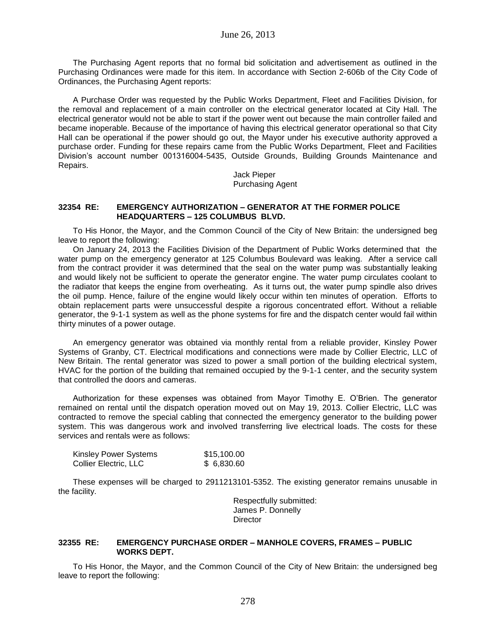The Purchasing Agent reports that no formal bid solicitation and advertisement as outlined in the Purchasing Ordinances were made for this item. In accordance with Section 2-606b of the City Code of Ordinances, the Purchasing Agent reports:

A Purchase Order was requested by the Public Works Department, Fleet and Facilities Division, for the removal and replacement of a main controller on the electrical generator located at City Hall. The electrical generator would not be able to start if the power went out because the main controller failed and became inoperable. Because of the importance of having this electrical generator operational so that City Hall can be operational if the power should go out, the Mayor under his executive authority approved a purchase order. Funding for these repairs came from the Public Works Department, Fleet and Facilities Division's account number 001316004-5435, Outside Grounds, Building Grounds Maintenance and Repairs.

> Jack Pieper Purchasing Agent

## **32354 RE: EMERGENCY AUTHORIZATION – GENERATOR AT THE FORMER POLICE HEADQUARTERS – 125 COLUMBUS BLVD.**

To His Honor, the Mayor, and the Common Council of the City of New Britain: the undersigned beg leave to report the following:

On January 24, 2013 the Facilities Division of the Department of Public Works determined that the water pump on the emergency generator at 125 Columbus Boulevard was leaking. After a service call from the contract provider it was determined that the seal on the water pump was substantially leaking and would likely not be sufficient to operate the generator engine. The water pump circulates coolant to the radiator that keeps the engine from overheating. As it turns out, the water pump spindle also drives the oil pump. Hence, failure of the engine would likely occur within ten minutes of operation. Efforts to obtain replacement parts were unsuccessful despite a rigorous concentrated effort. Without a reliable generator, the 9-1-1 system as well as the phone systems for fire and the dispatch center would fail within thirty minutes of a power outage.

An emergency generator was obtained via monthly rental from a reliable provider, Kinsley Power Systems of Granby, CT. Electrical modifications and connections were made by Collier Electric, LLC of New Britain. The rental generator was sized to power a small portion of the building electrical system, HVAC for the portion of the building that remained occupied by the 9-1-1 center, and the security system that controlled the doors and cameras.

Authorization for these expenses was obtained from Mayor Timothy E. O'Brien. The generator remained on rental until the dispatch operation moved out on May 19, 2013. Collier Electric, LLC was contracted to remove the special cabling that connected the emergency generator to the building power system. This was dangerous work and involved transferring live electrical loads. The costs for these services and rentals were as follows:

| Kinsley Power Systems | \$15,100.00 |
|-----------------------|-------------|
| Collier Electric, LLC | \$ 6,830.60 |

These expenses will be charged to 2911213101-5352. The existing generator remains unusable in the facility.

> Respectfully submitted: James P. Donnelly **Director**

### **32355 RE: EMERGENCY PURCHASE ORDER – MANHOLE COVERS, FRAMES – PUBLIC WORKS DEPT.**

To His Honor, the Mayor, and the Common Council of the City of New Britain: the undersigned beg leave to report the following: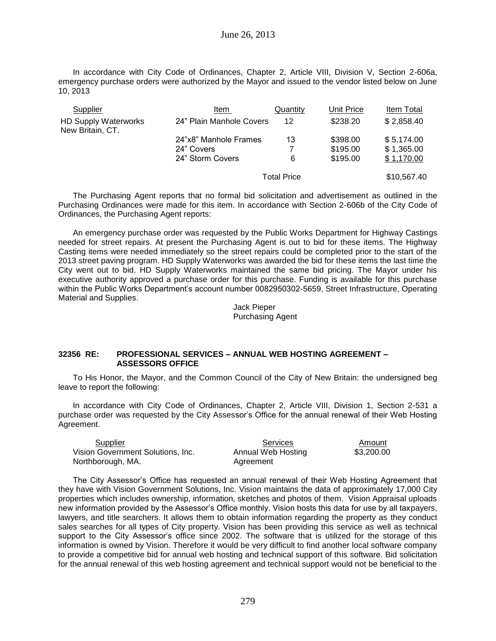In accordance with City Code of Ordinances, Chapter 2, Article VIII, Division V, Section 2-606a, emergency purchase orders were authorized by the Mayor and issued to the vendor listed below on June 10, 2013

| Supplier                                        | Item                     | Quantity           | Unit Price | Item Total  |
|-------------------------------------------------|--------------------------|--------------------|------------|-------------|
| <b>HD Supply Waterworks</b><br>New Britain, CT. | 24" Plain Manhole Covers | 12                 | \$238.20   | \$2,858.40  |
|                                                 | 24"x8" Manhole Frames    | 13                 | \$398.00   | \$5,174.00  |
|                                                 | 24" Covers               | 7                  | \$195.00   | \$1,365.00  |
|                                                 | 24" Storm Covers         | 6                  | \$195.00   | \$1,170.00  |
|                                                 |                          | <b>Total Price</b> |            | \$10,567.40 |

The Purchasing Agent reports that no formal bid solicitation and advertisement as outlined in the Purchasing Ordinances were made for this item. In accordance with Section 2-606b of the City Code of Ordinances, the Purchasing Agent reports:

An emergency purchase order was requested by the Public Works Department for Highway Castings needed for street repairs. At present the Purchasing Agent is out to bid for these items. The Highway Casting items were needed immediately so the street repairs could be completed prior to the start of the 2013 street paving program. HD Supply Waterworks was awarded the bid for these items the last time the City went out to bid. HD Supply Waterworks maintained the same bid pricing. The Mayor under his executive authority approved a purchase order for this purchase. Funding is available for this purchase within the Public Works Department's account number 0082950302-5659, Street Infrastructure, Operating Material and Supplies.

Jack Pieper Purchasing Agent

### **32356 RE: PROFESSIONAL SERVICES – ANNUAL WEB HOSTING AGREEMENT – ASSESSORS OFFICE**

To His Honor, the Mayor, and the Common Council of the City of New Britain: the undersigned beg leave to report the following:

In accordance with City Code of Ordinances, Chapter 2, Article VIII, Division 1, Section 2-531 a purchase order was requested by the City Assessor's Office for the annual renewal of their Web Hosting Agreement.

| Supplier                          | Services           | Amount     |
|-----------------------------------|--------------------|------------|
| Vision Government Solutions. Inc. | Annual Web Hosting | \$3,200.00 |
| Northborough, MA.                 | Agreement          |            |

The City Assessor's Office has requested an annual renewal of their Web Hosting Agreement that they have with Vision Government Solutions, Inc. Vision maintains the data of approximately 17,000 City properties which includes ownership, information, sketches and photos of them. Vision Appraisal uploads new information provided by the Assessor's Office monthly. Vision hosts this data for use by all taxpayers, lawyers, and title searchers. It allows them to obtain information regarding the property as they conduct sales searches for all types of City property. Vision has been providing this service as well as technical support to the City Assessor's office since 2002. The software that is utilized for the storage of this information is owned by Vision. Therefore it would be very difficult to find another local software company to provide a competitive bid for annual web hosting and technical support of this software. Bid solicitation for the annual renewal of this web hosting agreement and technical support would not be beneficial to the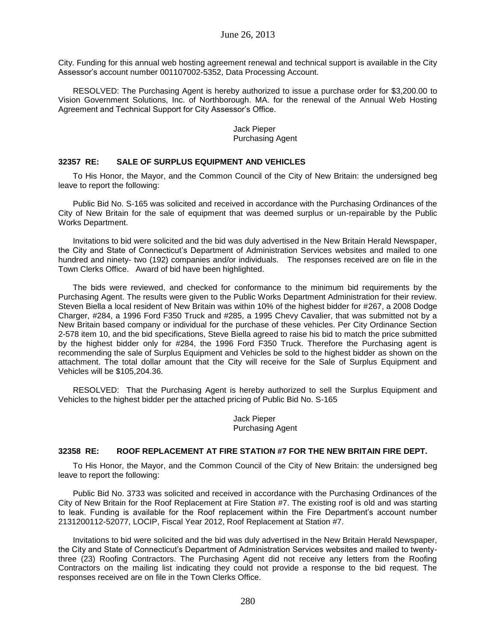City. Funding for this annual web hosting agreement renewal and technical support is available in the City Assessor's account number 001107002-5352, Data Processing Account.

RESOLVED: The Purchasing Agent is hereby authorized to issue a purchase order for \$3,200.00 to Vision Government Solutions, Inc. of Northborough. MA. for the renewal of the Annual Web Hosting Agreement and Technical Support for City Assessor's Office.

### Jack Pieper Purchasing Agent

## **32357 RE: SALE OF SURPLUS EQUIPMENT AND VEHICLES**

To His Honor, the Mayor, and the Common Council of the City of New Britain: the undersigned beg leave to report the following:

Public Bid No. S-165 was solicited and received in accordance with the Purchasing Ordinances of the City of New Britain for the sale of equipment that was deemed surplus or un-repairable by the Public Works Department.

Invitations to bid were solicited and the bid was duly advertised in the New Britain Herald Newspaper, the City and State of Connecticut's Department of Administration Services websites and mailed to one hundred and ninety- two (192) companies and/or individuals. The responses received are on file in the Town Clerks Office. Award of bid have been highlighted.

The bids were reviewed, and checked for conformance to the minimum bid requirements by the Purchasing Agent. The results were given to the Public Works Department Administration for their review. Steven Biella a local resident of New Britain was within 10% of the highest bidder for #267, a 2008 Dodge Charger, #284, a 1996 Ford F350 Truck and #285, a 1995 Chevy Cavalier, that was submitted not by a New Britain based company or individual for the purchase of these vehicles. Per City Ordinance Section 2-578 item 10, and the bid specifications, Steve Biella agreed to raise his bid to match the price submitted by the highest bidder only for #284, the 1996 Ford F350 Truck. Therefore the Purchasing agent is recommending the sale of Surplus Equipment and Vehicles be sold to the highest bidder as shown on the attachment. The total dollar amount that the City will receive for the Sale of Surplus Equipment and Vehicles will be \$105,204.36.

RESOLVED: That the Purchasing Agent is hereby authorized to sell the Surplus Equipment and Vehicles to the highest bidder per the attached pricing of Public Bid No. S-165

> Jack Pieper Purchasing Agent

#### **32358 RE: ROOF REPLACEMENT AT FIRE STATION #7 FOR THE NEW BRITAIN FIRE DEPT.**

To His Honor, the Mayor, and the Common Council of the City of New Britain: the undersigned beg leave to report the following:

Public Bid No. 3733 was solicited and received in accordance with the Purchasing Ordinances of the City of New Britain for the Roof Replacement at Fire Station #7. The existing roof is old and was starting to leak. Funding is available for the Roof replacement within the Fire Department's account number 2131200112-52077, LOCIP, Fiscal Year 2012, Roof Replacement at Station #7.

Invitations to bid were solicited and the bid was duly advertised in the New Britain Herald Newspaper, the City and State of Connecticut's Department of Administration Services websites and mailed to twentythree (23) Roofing Contractors. The Purchasing Agent did not receive any letters from the Roofing Contractors on the mailing list indicating they could not provide a response to the bid request. The responses received are on file in the Town Clerks Office.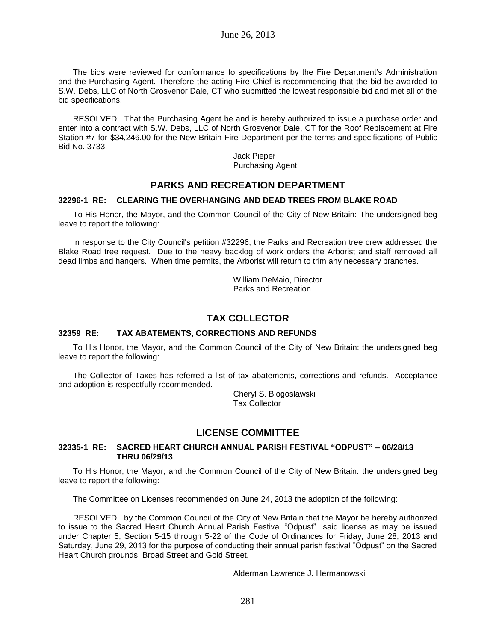The bids were reviewed for conformance to specifications by the Fire Department's Administration and the Purchasing Agent. Therefore the acting Fire Chief is recommending that the bid be awarded to S.W. Debs, LLC of North Grosvenor Dale, CT who submitted the lowest responsible bid and met all of the bid specifications.

RESOLVED: That the Purchasing Agent be and is hereby authorized to issue a purchase order and enter into a contract with S.W. Debs, LLC of North Grosvenor Dale, CT for the Roof Replacement at Fire Station #7 for \$34,246.00 for the New Britain Fire Department per the terms and specifications of Public Bid No. 3733.

> Jack Pieper Purchasing Agent

## **PARKS AND RECREATION DEPARTMENT**

## **32296-1 RE: CLEARING THE OVERHANGING AND DEAD TREES FROM BLAKE ROAD**

To His Honor, the Mayor, and the Common Council of the City of New Britain: The undersigned beg leave to report the following:

In response to the City Council's petition #32296, the Parks and Recreation tree crew addressed the Blake Road tree request. Due to the heavy backlog of work orders the Arborist and staff removed all dead limbs and hangers. When time permits, the Arborist will return to trim any necessary branches.

> William DeMaio, Director Parks and Recreation

# **TAX COLLECTOR**

## **32359 RE: TAX ABATEMENTS, CORRECTIONS AND REFUNDS**

To His Honor, the Mayor, and the Common Council of the City of New Britain: the undersigned beg leave to report the following:

The Collector of Taxes has referred a list of tax abatements, corrections and refunds. Acceptance and adoption is respectfully recommended.

> Cheryl S. Blogoslawski Tax Collector

# **LICENSE COMMITTEE**

### **32335-1 RE: SACRED HEART CHURCH ANNUAL PARISH FESTIVAL "ODPUST" – 06/28/13 THRU 06/29/13**

To His Honor, the Mayor, and the Common Council of the City of New Britain: the undersigned beg leave to report the following:

The Committee on Licenses recommended on June 24, 2013 the adoption of the following:

RESOLVED; by the Common Council of the City of New Britain that the Mayor be hereby authorized to issue to the Sacred Heart Church Annual Parish Festival "Odpust" said license as may be issued under Chapter 5, Section 5-15 through 5-22 of the Code of Ordinances for Friday, June 28, 2013 and Saturday, June 29, 2013 for the purpose of conducting their annual parish festival "Odpust" on the Sacred Heart Church grounds, Broad Street and Gold Street.

Alderman Lawrence J. Hermanowski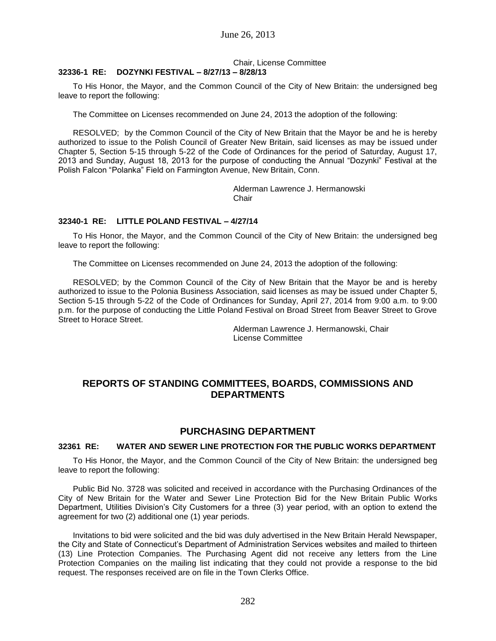## Chair, License Committee

## **32336-1 RE: DOZYNKI FESTIVAL – 8/27/13 – 8/28/13**

To His Honor, the Mayor, and the Common Council of the City of New Britain: the undersigned beg leave to report the following:

The Committee on Licenses recommended on June 24, 2013 the adoption of the following:

RESOLVED; by the Common Council of the City of New Britain that the Mayor be and he is hereby authorized to issue to the Polish Council of Greater New Britain, said licenses as may be issued under Chapter 5, Section 5-15 through 5-22 of the Code of Ordinances for the period of Saturday, August 17, 2013 and Sunday, August 18, 2013 for the purpose of conducting the Annual "Dozynki" Festival at the Polish Falcon "Polanka" Field on Farmington Avenue, New Britain, Conn.

> Alderman Lawrence J. Hermanowski Chair

### **32340-1 RE: LITTLE POLAND FESTIVAL – 4/27/14**

To His Honor, the Mayor, and the Common Council of the City of New Britain: the undersigned beg leave to report the following:

The Committee on Licenses recommended on June 24, 2013 the adoption of the following:

RESOLVED; by the Common Council of the City of New Britain that the Mayor be and is hereby authorized to issue to the Polonia Business Association, said licenses as may be issued under Chapter 5, Section 5-15 through 5-22 of the Code of Ordinances for Sunday, April 27, 2014 from 9:00 a.m. to 9:00 p.m. for the purpose of conducting the Little Poland Festival on Broad Street from Beaver Street to Grove Street to Horace Street.

> Alderman Lawrence J. Hermanowski, Chair License Committee

## **REPORTS OF STANDING COMMITTEES, BOARDS, COMMISSIONS AND DEPARTMENTS**

## **PURCHASING DEPARTMENT**

#### **32361 RE: WATER AND SEWER LINE PROTECTION FOR THE PUBLIC WORKS DEPARTMENT**

To His Honor, the Mayor, and the Common Council of the City of New Britain: the undersigned beg leave to report the following:

Public Bid No. 3728 was solicited and received in accordance with the Purchasing Ordinances of the City of New Britain for the Water and Sewer Line Protection Bid for the New Britain Public Works Department, Utilities Division's City Customers for a three (3) year period, with an option to extend the agreement for two (2) additional one (1) year periods.

Invitations to bid were solicited and the bid was duly advertised in the New Britain Herald Newspaper, the City and State of Connecticut's Department of Administration Services websites and mailed to thirteen (13) Line Protection Companies. The Purchasing Agent did not receive any letters from the Line Protection Companies on the mailing list indicating that they could not provide a response to the bid request. The responses received are on file in the Town Clerks Office.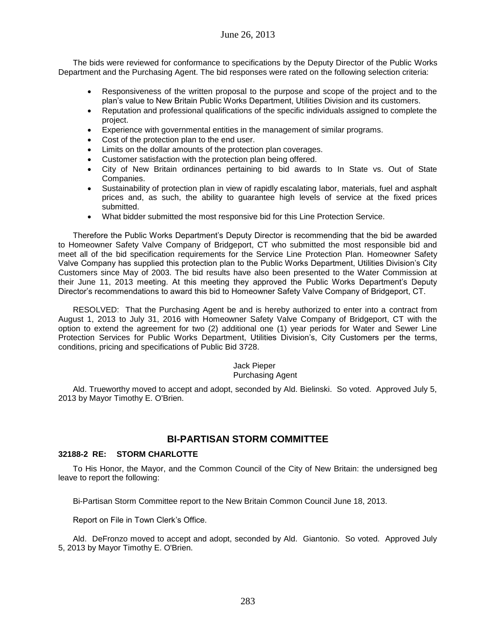The bids were reviewed for conformance to specifications by the Deputy Director of the Public Works Department and the Purchasing Agent. The bid responses were rated on the following selection criteria:

- Responsiveness of the written proposal to the purpose and scope of the project and to the plan's value to New Britain Public Works Department, Utilities Division and its customers.
- Reputation and professional qualifications of the specific individuals assigned to complete the project.
- Experience with governmental entities in the management of similar programs.
- Cost of the protection plan to the end user.
- Limits on the dollar amounts of the protection plan coverages.
- Customer satisfaction with the protection plan being offered.
- City of New Britain ordinances pertaining to bid awards to In State vs. Out of State Companies.
- Sustainability of protection plan in view of rapidly escalating labor, materials, fuel and asphalt prices and, as such, the ability to guarantee high levels of service at the fixed prices submitted.
- What bidder submitted the most responsive bid for this Line Protection Service.

Therefore the Public Works Department's Deputy Director is recommending that the bid be awarded to Homeowner Safety Valve Company of Bridgeport, CT who submitted the most responsible bid and meet all of the bid specification requirements for the Service Line Protection Plan. Homeowner Safety Valve Company has supplied this protection plan to the Public Works Department, Utilities Division's City Customers since May of 2003. The bid results have also been presented to the Water Commission at their June 11, 2013 meeting. At this meeting they approved the Public Works Department's Deputy Director's recommendations to award this bid to Homeowner Safety Valve Company of Bridgeport, CT.

RESOLVED: That the Purchasing Agent be and is hereby authorized to enter into a contract from August 1, 2013 to July 31, 2016 with Homeowner Safety Valve Company of Bridgeport, CT with the option to extend the agreement for two (2) additional one (1) year periods for Water and Sewer Line Protection Services for Public Works Department, Utilities Division's, City Customers per the terms, conditions, pricing and specifications of Public Bid 3728.

# Jack Pieper

### Purchasing Agent

Ald. Trueworthy moved to accept and adopt, seconded by Ald. Bielinski. So voted. Approved July 5, 2013 by Mayor Timothy E. O'Brien.

## **BI-PARTISAN STORM COMMITTEE**

## **32188-2 RE: STORM CHARLOTTE**

To His Honor, the Mayor, and the Common Council of the City of New Britain: the undersigned beg leave to report the following:

Bi-Partisan Storm Committee report to the New Britain Common Council June 18, 2013.

Report on File in Town Clerk's Office.

Ald. DeFronzo moved to accept and adopt, seconded by Ald. Giantonio. So voted. Approved July 5, 2013 by Mayor Timothy E. O'Brien.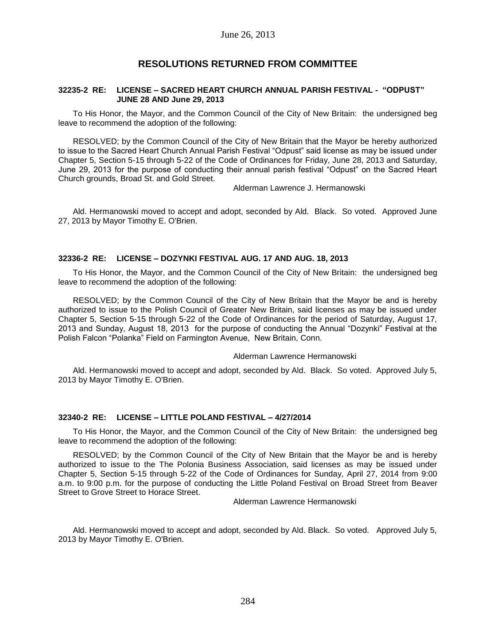## **RESOLUTIONS RETURNED FROM COMMITTEE**

#### **32235-2 RE: LICENSE – SACRED HEART CHURCH ANNUAL PARISH FESTIVAL - "ODPUST" JUNE 28 AND June 29, 2013**

To His Honor, the Mayor, and the Common Council of the City of New Britain: the undersigned beg leave to recommend the adoption of the following:

RESOLVED; by the Common Council of the City of New Britain that the Mayor be hereby authorized to issue to the Sacred Heart Church Annual Parish Festival "Odpust" said license as may be issued under Chapter 5, Section 5-15 through 5-22 of the Code of Ordinances for Friday, June 28, 2013 and Saturday, June 29, 2013 for the purpose of conducting their annual parish festival "Odpust" on the Sacred Heart Church grounds, Broad St. and Gold Street.

Alderman Lawrence J. Hermanowski

Ald. Hermanowski moved to accept and adopt, seconded by Ald. Black. So voted. Approved June 27, 2013 by Mayor Timothy E. O'Brien.

## **32336-2 RE: LICENSE – DOZYNKI FESTIVAL AUG. 17 AND AUG. 18, 2013**

To His Honor, the Mayor, and the Common Council of the City of New Britain: the undersigned beg leave to recommend the adoption of the following:

RESOLVED; by the Common Council of the City of New Britain that the Mayor be and is hereby authorized to issue to the Polish Council of Greater New Britain, said licenses as may be issued under Chapter 5, Section 5-15 through 5-22 of the Code of Ordinances for the period of Saturday, August 17, 2013 and Sunday, August 18, 2013 for the purpose of conducting the Annual "Dozynki" Festival at the Polish Falcon "Polanka" Field on Farmington Avenue, New Britain, Conn.

### Alderman Lawrence Hermanowski

Ald. Hermanowski moved to accept and adopt, seconded by Ald. Black. So voted. Approved July 5, 2013 by Mayor Timothy E. O'Brien.

### **32340-2 RE: LICENSE – LITTLE POLAND FESTIVAL – 4/27/2014**

To His Honor, the Mayor, and the Common Council of the City of New Britain: the undersigned beg leave to recommend the adoption of the following:

RESOLVED; by the Common Council of the City of New Britain that the Mayor be and is hereby authorized to issue to the The Polonia Business Association, said licenses as may be issued under Chapter 5, Section 5-15 through 5-22 of the Code of Ordinances for Sunday, April 27, 2014 from 9:00 a.m. to 9:00 p.m. for the purpose of conducting the Little Poland Festival on Broad Street from Beaver Street to Grove Street to Horace Street.

Alderman Lawrence Hermanowski

Ald. Hermanowski moved to accept and adopt, seconded by Ald. Black. So voted. Approved July 5, 2013 by Mayor Timothy E. O'Brien.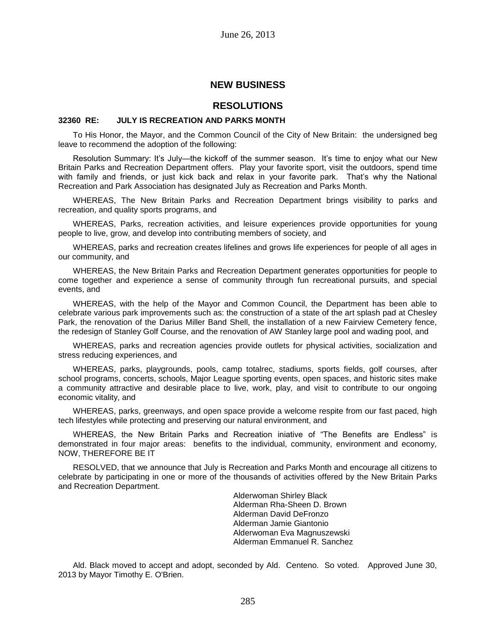## **NEW BUSINESS**

## **RESOLUTIONS**

### **32360 RE: JULY IS RECREATION AND PARKS MONTH**

To His Honor, the Mayor, and the Common Council of the City of New Britain: the undersigned beg leave to recommend the adoption of the following:

Resolution Summary: It's July—the kickoff of the summer season. It's time to enjoy what our New Britain Parks and Recreation Department offers. Play your favorite sport, visit the outdoors, spend time with family and friends, or just kick back and relax in your favorite park. That's why the National Recreation and Park Association has designated July as Recreation and Parks Month.

WHEREAS, The New Britain Parks and Recreation Department brings visibility to parks and recreation, and quality sports programs, and

WHEREAS, Parks, recreation activities, and leisure experiences provide opportunities for young people to live, grow, and develop into contributing members of society, and

WHEREAS, parks and recreation creates lifelines and grows life experiences for people of all ages in our community, and

WHEREAS, the New Britain Parks and Recreation Department generates opportunities for people to come together and experience a sense of community through fun recreational pursuits, and special events, and

WHEREAS, with the help of the Mayor and Common Council, the Department has been able to celebrate various park improvements such as: the construction of a state of the art splash pad at Chesley Park, the renovation of the Darius Miller Band Shell, the installation of a new Fairview Cemetery fence, the redesign of Stanley Golf Course, and the renovation of AW Stanley large pool and wading pool, and

WHEREAS, parks and recreation agencies provide outlets for physical activities, socialization and stress reducing experiences, and

WHEREAS, parks, playgrounds, pools, camp totalrec, stadiums, sports fields, golf courses, after school programs, concerts, schools, Major League sporting events, open spaces, and historic sites make a community attractive and desirable place to live, work, play, and visit to contribute to our ongoing economic vitality, and

WHEREAS, parks, greenways, and open space provide a welcome respite from our fast paced, high tech lifestyles while protecting and preserving our natural environment, and

WHEREAS, the New Britain Parks and Recreation iniative of "The Benefits are Endless" is demonstrated in four major areas: benefits to the individual, community, environment and economy, NOW, THEREFORE BE IT

RESOLVED, that we announce that July is Recreation and Parks Month and encourage all citizens to celebrate by participating in one or more of the thousands of activities offered by the New Britain Parks and Recreation Department.

> Alderwoman Shirley Black Alderman Rha-Sheen D. Brown Alderman David DeFronzo Alderman Jamie Giantonio Alderwoman Eva Magnuszewski Alderman Emmanuel R. Sanchez

Ald. Black moved to accept and adopt, seconded by Ald. Centeno. So voted. Approved June 30, 2013 by Mayor Timothy E. O'Brien.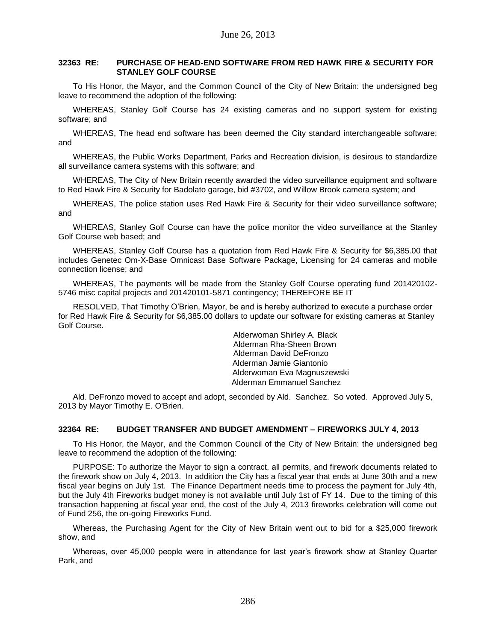## **32363 RE: PURCHASE OF HEAD-END SOFTWARE FROM RED HAWK FIRE & SECURITY FOR STANLEY GOLF COURSE**

To His Honor, the Mayor, and the Common Council of the City of New Britain: the undersigned beg leave to recommend the adoption of the following:

WHEREAS, Stanley Golf Course has 24 existing cameras and no support system for existing software; and

WHEREAS, The head end software has been deemed the City standard interchangeable software; and

WHEREAS, the Public Works Department, Parks and Recreation division, is desirous to standardize all surveillance camera systems with this software; and

WHEREAS, The City of New Britain recently awarded the video surveillance equipment and software to Red Hawk Fire & Security for Badolato garage, bid #3702, and Willow Brook camera system; and

WHEREAS, The police station uses Red Hawk Fire & Security for their video surveillance software; and

WHEREAS, Stanley Golf Course can have the police monitor the video surveillance at the Stanley Golf Course web based; and

WHEREAS, Stanley Golf Course has a quotation from Red Hawk Fire & Security for \$6,385.00 that includes Genetec Om-X-Base Omnicast Base Software Package, Licensing for 24 cameras and mobile connection license; and

WHEREAS, The payments will be made from the Stanley Golf Course operating fund 201420102- 5746 misc capital projects and 201420101-5871 contingency; THEREFORE BE IT

RESOLVED, That Timothy O'Brien, Mayor, be and is hereby authorized to execute a purchase order for Red Hawk Fire & Security for \$6,385.00 dollars to update our software for existing cameras at Stanley Golf Course.

> Alderwoman Shirley A. Black Alderman Rha-Sheen Brown Alderman David DeFronzo Alderman Jamie Giantonio Alderwoman Eva Magnuszewski Alderman Emmanuel Sanchez

Ald. DeFronzo moved to accept and adopt, seconded by Ald. Sanchez. So voted. Approved July 5, 2013 by Mayor Timothy E. O'Brien.

### **32364 RE: BUDGET TRANSFER AND BUDGET AMENDMENT – FIREWORKS JULY 4, 2013**

To His Honor, the Mayor, and the Common Council of the City of New Britain: the undersigned beg leave to recommend the adoption of the following:

PURPOSE: To authorize the Mayor to sign a contract, all permits, and firework documents related to the firework show on July 4, 2013. In addition the City has a fiscal year that ends at June 30th and a new fiscal year begins on July 1st. The Finance Department needs time to process the payment for July 4th, but the July 4th Fireworks budget money is not available until July 1st of FY 14. Due to the timing of this transaction happening at fiscal year end, the cost of the July 4, 2013 fireworks celebration will come out of Fund 256, the on-going Fireworks Fund.

Whereas, the Purchasing Agent for the City of New Britain went out to bid for a \$25,000 firework show, and

Whereas, over 45,000 people were in attendance for last year's firework show at Stanley Quarter Park, and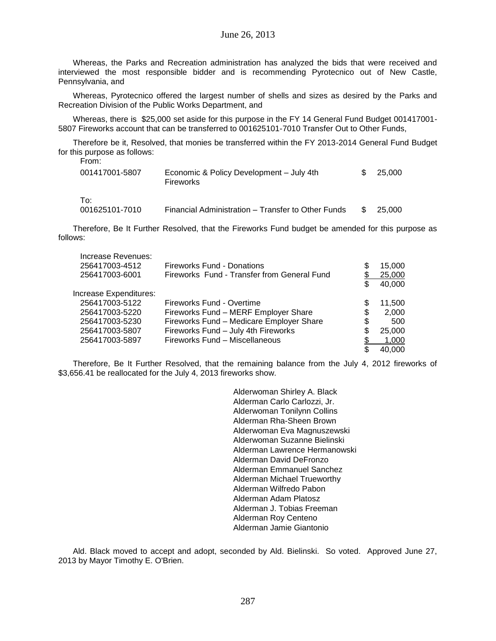Whereas, the Parks and Recreation administration has analyzed the bids that were received and interviewed the most responsible bidder and is recommending Pyrotecnico out of New Castle, Pennsylvania, and

Whereas, Pyrotecnico offered the largest number of shells and sizes as desired by the Parks and Recreation Division of the Public Works Department, and

Whereas, there is \$25,000 set aside for this purpose in the FY 14 General Fund Budget 001417001- 5807 Fireworks account that can be transferred to 001625101-7010 Transfer Out to Other Funds,

Therefore be it, Resolved, that monies be transferred within the FY 2013-2014 General Fund Budget for this purpose as follows:

| From:                 |                                                       |     |        |
|-----------------------|-------------------------------------------------------|-----|--------|
| 001417001-5807        | Economic & Policy Development – July 4th<br>Fireworks | \$. | 25.000 |
| To:<br>001625101-7010 | Financial Administration – Transfer to Other Funds    |     | 25,000 |

Therefore, Be It Further Resolved, that the Fireworks Fund budget be amended for this purpose as follows:

| Increase Revenues:     |                                             |    |        |
|------------------------|---------------------------------------------|----|--------|
| 256417003-4512         | <b>Fireworks Fund - Donations</b>           | \$ | 15,000 |
| 256417003-6001         | Fireworks Fund - Transfer from General Fund |    | 25,000 |
|                        |                                             |    | 40,000 |
| Increase Expenditures: |                                             |    |        |
| 256417003-5122         | Fireworks Fund - Overtime                   | S  | 11,500 |
| 256417003-5220         | Fireworks Fund - MERF Employer Share        | \$ | 2,000  |
| 256417003-5230         | Fireworks Fund - Medicare Employer Share    | \$ | 500    |
| 256417003-5807         | Fireworks Fund - July 4th Fireworks         | \$ | 25,000 |
| 256417003-5897         | Fireworks Fund - Miscellaneous              |    | 1,000  |
|                        |                                             |    | 40.000 |

Therefore, Be It Further Resolved, that the remaining balance from the July 4, 2012 fireworks of \$3,656.41 be reallocated for the July 4, 2013 fireworks show.

> Alderwoman Shirley A. Black Alderman Carlo Carlozzi, Jr. Alderwoman Tonilynn Collins Alderman Rha-Sheen Brown Alderwoman Eva Magnuszewski Alderwoman Suzanne Bielinski Alderman Lawrence Hermanowski Alderman David DeFronzo Alderman Emmanuel Sanchez Alderman Michael Trueworthy Alderman Wilfredo Pabon Alderman Adam Platosz Alderman J. Tobias Freeman Alderman Roy Centeno Alderman Jamie Giantonio

Ald. Black moved to accept and adopt, seconded by Ald. Bielinski. So voted. Approved June 27, 2013 by Mayor Timothy E. O'Brien.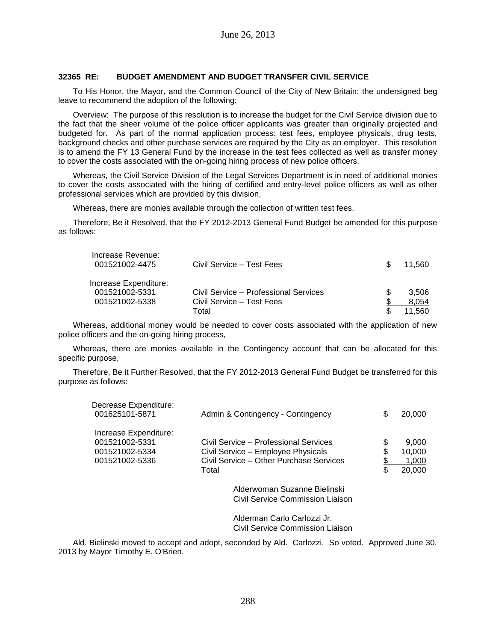## **32365 RE: BUDGET AMENDMENT AND BUDGET TRANSFER CIVIL SERVICE**

To His Honor, the Mayor, and the Common Council of the City of New Britain: the undersigned beg leave to recommend the adoption of the following:

Overview: The purpose of this resolution is to increase the budget for the Civil Service division due to the fact that the sheer volume of the police officer applicants was greater than originally projected and budgeted for. As part of the normal application process: test fees, employee physicals, drug tests, background checks and other purchase services are required by the City as an employer. This resolution is to amend the FY 13 General Fund by the increase in the test fees collected as well as transfer money to cover the costs associated with the on-going hiring process of new police officers.

Whereas, the Civil Service Division of the Legal Services Department is in need of additional monies to cover the costs associated with the hiring of certified and entry-level police officers as well as other professional services which are provided by this division,

Whereas, there are monies available through the collection of written test fees,

Therefore, Be it Resolved, that the FY 2012-2013 General Fund Budget be amended for this purpose as follows:

| Increase Revenue:<br>001521002-4475     | Civil Service - Test Fees             | \$. | 11.560 |
|-----------------------------------------|---------------------------------------|-----|--------|
| Increase Expenditure:<br>001521002-5331 | Civil Service – Professional Services |     | 3.506  |
| 001521002-5338                          | Civil Service - Test Fees             |     | 8.054  |
|                                         | Total                                 |     | 11.560 |

Whereas, additional money would be needed to cover costs associated with the application of new police officers and the on-going hiring process,

Whereas, there are monies available in the Contingency account that can be allocated for this specific purpose,

Therefore, Be it Further Resolved, that the FY 2012-2013 General Fund Budget be transferred for this purpose as follows:

| Decrease Expenditure:<br>001625101-5871                                     | Admin & Contingency - Contingency                                                                                               | \$            | 20,000                             |
|-----------------------------------------------------------------------------|---------------------------------------------------------------------------------------------------------------------------------|---------------|------------------------------------|
| Increase Expenditure:<br>001521002-5331<br>001521002-5334<br>001521002-5336 | Civil Service - Professional Services<br>Civil Service - Employee Physicals<br>Civil Service – Other Purchase Services<br>Total | \$<br>S<br>\$ | 9,000<br>10,000<br>1.000<br>20,000 |
|                                                                             | Alderwoman Suzanne Bielinski<br>Civil Service Commission Liaison                                                                |               |                                    |
|                                                                             | Alderman Carlo Carlozzi Jr.<br>Civil Service Commission Liaison                                                                 |               |                                    |

Ald. Bielinski moved to accept and adopt, seconded by Ald. Carlozzi. So voted. Approved June 30, 2013 by Mayor Timothy E. O'Brien.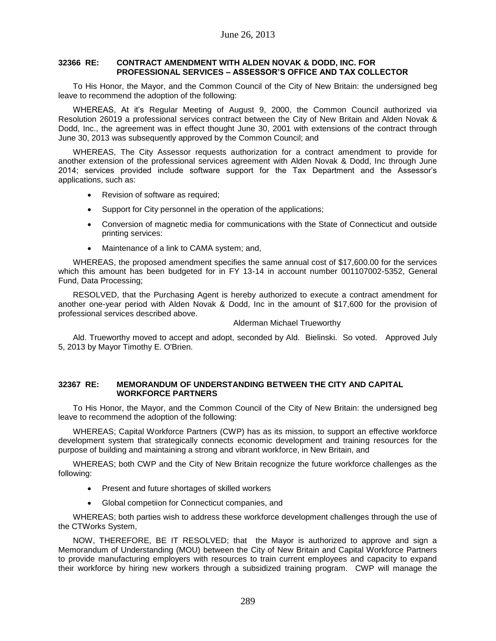## **32366 RE: CONTRACT AMENDMENT WITH ALDEN NOVAK & DODD, INC. FOR PROFESSIONAL SERVICES – ASSESSOR'S OFFICE AND TAX COLLECTOR**

To His Honor, the Mayor, and the Common Council of the City of New Britain: the undersigned beg leave to recommend the adoption of the following:

WHEREAS, At it's Regular Meeting of August 9, 2000, the Common Council authorized via Resolution 26019 a professional services contract between the City of New Britain and Alden Novak & Dodd, Inc., the agreement was in effect thought June 30, 2001 with extensions of the contract through June 30, 2013 was subsequently approved by the Common Council; and

WHEREAS, The City Assessor requests authorization for a contract amendment to provide for another extension of the professional services agreement with Alden Novak & Dodd, Inc through June 2014; services provided include software support for the Tax Department and the Assessor's applications, such as:

- Revision of software as required:
- Support for City personnel in the operation of the applications;
- Conversion of magnetic media for communications with the State of Connecticut and outside printing services:
- Maintenance of a link to CAMA system; and,

WHEREAS, the proposed amendment specifies the same annual cost of \$17,600.00 for the services which this amount has been budgeted for in FY 13-14 in account number 001107002-5352, General Fund, Data Processing;

RESOLVED, that the Purchasing Agent is hereby authorized to execute a contract amendment for another one-year period with Alden Novak & Dodd, Inc in the amount of \$17,600 for the provision of professional services described above.

## Alderman Michael Trueworthy

Ald. Trueworthy moved to accept and adopt, seconded by Ald. Bielinski. So voted. Approved July 5, 2013 by Mayor Timothy E. O'Brien.

## **32367 RE: MEMORANDUM OF UNDERSTANDING BETWEEN THE CITY AND CAPITAL WORKFORCE PARTNERS**

To His Honor, the Mayor, and the Common Council of the City of New Britain: the undersigned beg leave to recommend the adoption of the following:

WHEREAS; Capital Workforce Partners (CWP) has as its mission, to support an effective workforce development system that strategically connects economic development and training resources for the purpose of building and maintaining a strong and vibrant workforce, in New Britain, and

WHEREAS; both CWP and the City of New Britain recognize the future workforce challenges as the following:

- Present and future shortages of skilled workers
- Global competiion for Connecticut companies, and

WHEREAS; both parties wish to address these workforce development challenges through the use of the CTWorks System,

NOW, THEREFORE, BE IT RESOLVED; that the Mayor is authorized to approve and sign a Memorandum of Understanding (MOU) between the City of New Britain and Capital Workforce Partners to provide manufacturing employers with resources to train current employees and capacity to expand their workforce by hiring new workers through a subsidized training program. CWP will manage the